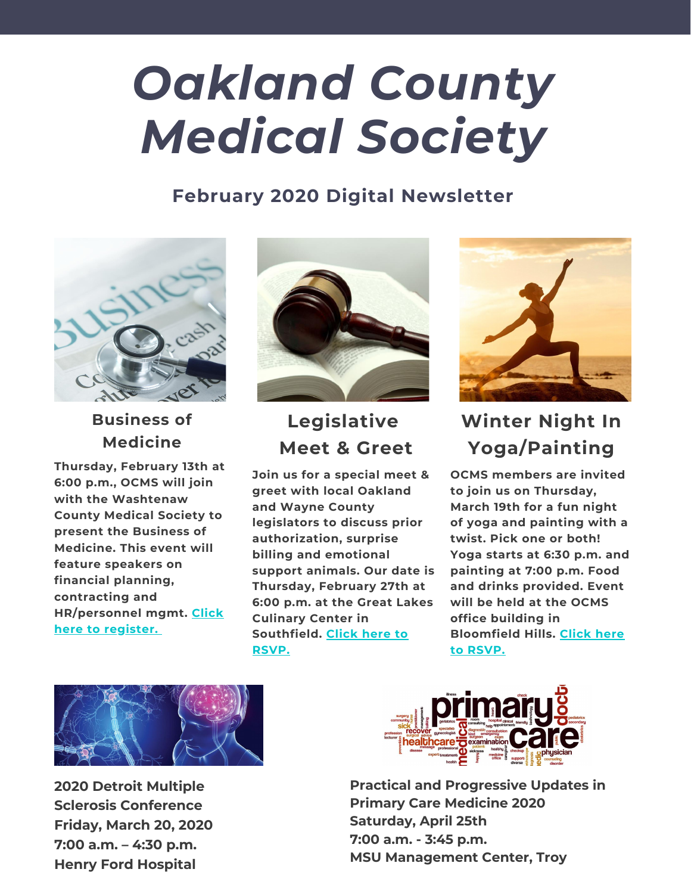# *Oakland County Medical Society*

## **February 2020 Digital Newsletter**



**Business of Medicine**

**Thursday, February 13th at 6:00 p.m., OCMS will join with the Washtenaw County Medical Society to present the Business of Medicine. This event will feature speakers on financial planning, contracting and [HR/personnel](https://wcms-mi.org/event/2020-general-membership-medconnect-event/?instance_id=249) mgmt. Click here to register.**



# **Legislative Meet & Greet**

**Join us for a special meet & greet with local Oakland and Wayne County legislators to discuss prior authorization, surprise billing and emotional support animals. Our date is Thursday, February 27th at 6:00 p.m. at the Great Lakes Culinary Center in [Southfield.](http://www.ocms-mi.org/registration-page.html) Click here to RSVP.**



# **Winter Night In Yoga/Painting**

**OCMS members are invited to join us on Thursday, March 19th for a fun night of yoga and painting with a twist. Pick one or both! Yoga starts at 6:30 p.m. and painting at 7:00 p.m. Food and drinks provided. Event will be held at the OCMS office building in [Bloomfield](http://www.ocms-mi.org/registration-page.html) Hills. Click here to RSVP.**



**2020 Detroit [Multiple](https://www.henryford.com/services/neurology/detroit-multiple-sclerosis-conference?utm_source=redirect&utm_medium=url&utm_campaign=vanity&utm_content=detroitms2020) Sclerosis [Conference](https://www.henryford.com/services/neurology/detroit-multiple-sclerosis-conference?utm_source=redirect&utm_medium=url&utm_campaign=vanity&utm_content=detroitms2020) [Friday,](https://www.henryford.com/services/neurology/detroit-multiple-sclerosis-conference?utm_source=redirect&utm_medium=url&utm_campaign=vanity&utm_content=detroitms2020) March 20, 2020 7:00 a.m. – 4:30 [p.m.](https://www.henryford.com/services/neurology/detroit-multiple-sclerosis-conference?utm_source=redirect&utm_medium=url&utm_campaign=vanity&utm_content=detroitms2020) Henry Ford [Hospital](https://www.henryford.com/services/neurology/detroit-multiple-sclerosis-conference?utm_source=redirect&utm_medium=url&utm_campaign=vanity&utm_content=detroitms2020)**



**Practical and [Progressive](https://beaumont.cloud-cme.com/default.aspx?P=5&EID=38811) Updates in Primary Care Medicine 2020 Saturday, April 25th 7:00 a.m. - 3:45 p.m. MSU Management Center, Troy**